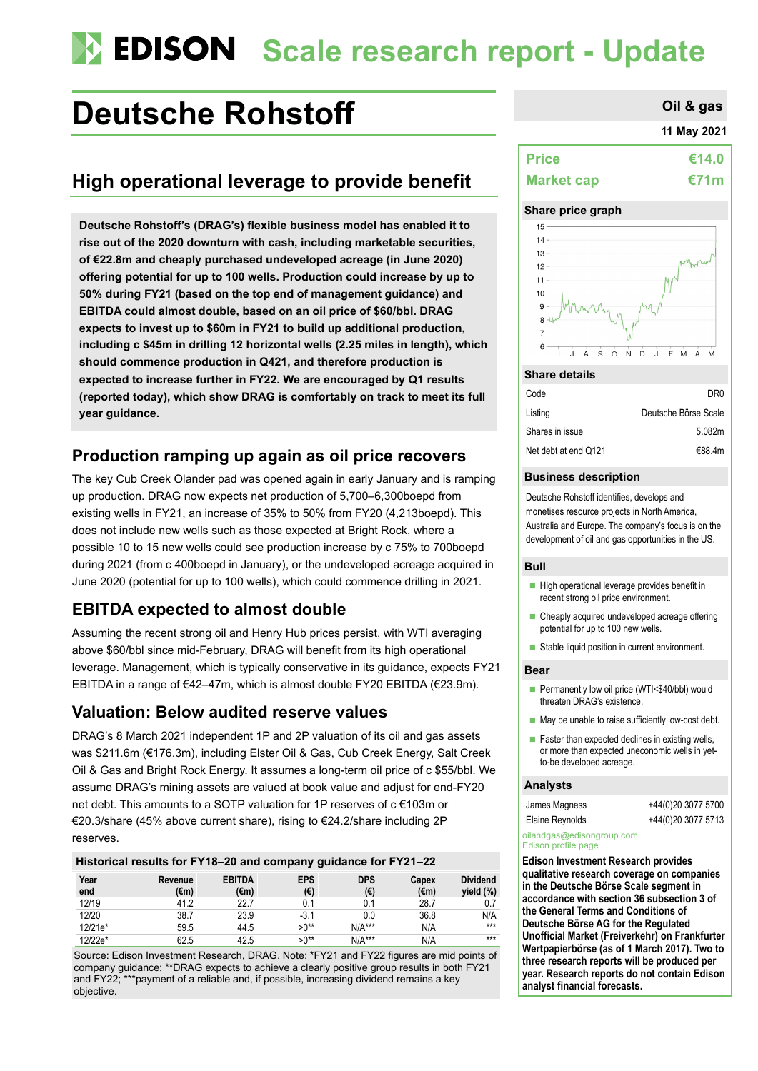# **Scale research report - Update**

# **Deutsche Rohstoff Constant Constant Constant Constant Constant Constant Constant Constant Constant Constant Constant Constant Constant Constant Constant Constant Constant Constant Constant Constant Constant Constant Con**

# **High operational leverage to provide benefit**

**Deutsche Rohstoff's (DRAG's) flexible business model has enabled it to rise out of the 2020 downturn with cash, including marketable securities, of €22.8m and cheaply purchased undeveloped acreage (in June 2020) offering potential for up to 100 wells. Production could increase by up to 50% during FY21 (based on the top end of management guidance) and EBITDA could almost double, based on an oil price of \$60/bbl. DRAG expects to invest up to \$60m in FY21 to build up additional production, including c \$45m in drilling 12 horizontal wells (2.25 miles in length), which should commence production in Q421, and therefore production is expected to increase further in FY22. We are encouraged by Q1 results (reported today), which show DRAG is comfortably on track to meet its full year guidance.**

# **Production ramping up again as oil price recovers**

The key Cub Creek Olander pad was opened again in early January and is ramping up production. DRAG now expects net production of 5,700–6,300boepd from existing wells in FY21, an increase of 35% to 50% from FY20 (4,213boepd). This does not include new wells such as those expected at Bright Rock, where a possible 10 to 15 new wells could see production increase by c 75% to 700boepd during 2021 (from c 400boepd in January), or the undeveloped acreage acquired in June 2020 (potential for up to 100 wells), which could commence drilling in 2021.

# **EBITDA expected to almost double**

Assuming the recent strong oil and Henry Hub prices persist, with WTI averaging above \$60/bbl since mid-February, DRAG will benefit from its high operational leverage. Management, which is typically conservative in its guidance, expects FY21 EBITDA in a range of €42–47m, which is almost double FY20 EBITDA (€23.9m).

### **Valuation: Below audited reserve values**

DRAG's 8 March 2021 independent 1P and 2P valuation of its oil and gas assets was \$211.6m (€176.3m), including Elster Oil & Gas, Cub Creek Energy, Salt Creek Oil & Gas and Bright Rock Energy. It assumes a long-term oil price of c \$55/bbl. We assume DRAG's mining assets are valued at book value and adjust for end-FY20 net debt. This amounts to a SOTP valuation for 1P reserves of c €103m or €20.3/share (45% above current share), rising to €24.2/share including 2P reserves.

| Historical results for FY18-20 and company guidance for FY21-22 |                 |                                 |                   |                            |                         |                              |
|-----------------------------------------------------------------|-----------------|---------------------------------|-------------------|----------------------------|-------------------------|------------------------------|
| Year<br>end                                                     | Revenue<br>(€m) | <b>EBITDA</b><br>$(\epsilon m)$ | <b>EPS</b><br>(€) | <b>DPS</b><br>$(\epsilon)$ | Capex<br>$(\epsilon m)$ | <b>Dividend</b><br>yield (%) |
| 12/19                                                           | 41.2            | 22.7                            | 0.1               | 0.1                        | 28.7                    |                              |
| 12/20                                                           | 38.7            | 23.9                            | $-3.1$            | 0.0                        | 36.8                    | N/A                          |
| 12/21e*                                                         | 59.5            | 44.5                            | $>0^{**}$         | $N/A***$                   | N/A                     | $***$                        |
| 12/22e*                                                         | 62.5            | 42.5                            | $>0^{**}$         | $N/A***$                   | N/A                     | $***$                        |

Source: Edison Investment Research, DRAG. Note: \*FY21 and FY22 figures are mid points of company guidance; \*\*DRAG expects to achieve a clearly positive group results in both FY21 and FY22; \*\*\*payment of a reliable and, if possible, increasing dividend remains a key objective.

### **11 May 2021**

| <b>Price</b>      | €14.0       |
|-------------------|-------------|
| <b>Market cap</b> | <b>€71m</b> |

#### **Share price graph**



#### **Share details**

| DR0                  |
|----------------------|
| Deutsche Börse Scale |
| 5.082m               |
| €88.4m               |
|                      |

#### **Business description**

Deutsche Rohstoff identifies, develops and monetises resource projects in North America, Australia and Europe. The company's focus is on the development of oil and gas opportunities in the US.

#### **Bull**

- $\blacksquare$  High operational leverage provides benefit in recent strong oil price environment.
- Cheaply acquired undeveloped acreage offering potential for up to 100 new wells.
- Stable liquid position in current environment.

#### **Bear**

- Permanently low oil price (WTI<\$40/bbl) would threaten DRAG's existence.
- May be unable to raise sufficiently low-cost debt.
- $\blacksquare$  Faster than expected declines in existing wells, or more than expected uneconomic wells in yetto-be developed acreage.

#### **Analysts**

James Magness +44(0)20 3077 5700 Elaine Reynolds +44(0)20 3077 5713

#### [oilandgas@edisongroup.com](mailto:oilandgas@edisongroup.com) [Edison profile page](https://www.edisongroup.com/company/deutsche-rohstoff/2570/)

**Edison Investment Research provides qualitative research coverage on companies in the Deutsche Börse Scale segment in accordance with section 36 subsection 3 of the General Terms and Conditions of Deutsche Börse AG for the Regulated Unofficial Market (Freiverkehr) on Frankfurter Wertpapierbörse (as of 1 March 2017). Two to three research reports will be produced per year. Research reports do not contain Edison analyst financial forecasts.**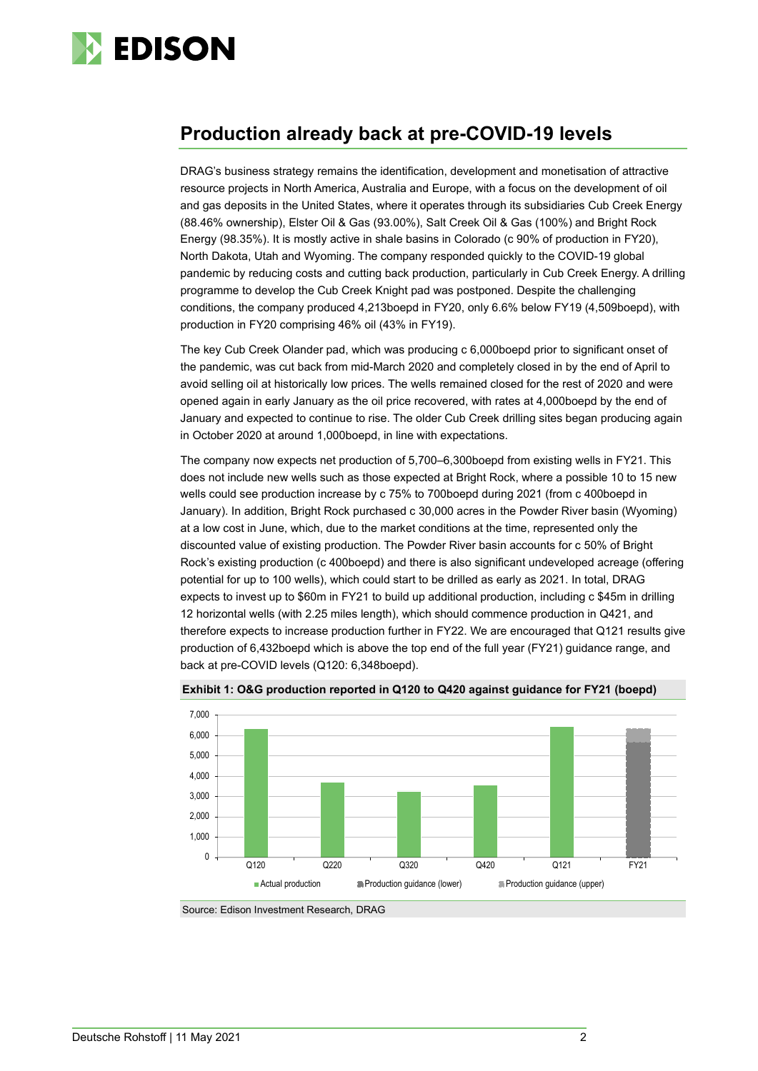

# **Production already back at pre-COVID-19 levels**

DRAG's business strategy remains the identification, development and monetisation of attractive resource projects in North America, Australia and Europe, with a focus on the development of oil and gas deposits in the United States, where it operates through its subsidiaries Cub Creek Energy (88.46% ownership), Elster Oil & Gas (93.00%), Salt Creek Oil & Gas (100%) and Bright Rock Energy (98.35%). It is mostly active in shale basins in Colorado (c 90% of production in FY20), North Dakota, Utah and Wyoming. The company responded quickly to the COVID-19 global pandemic by reducing costs and cutting back production, particularly in Cub Creek Energy. A drilling programme to develop the Cub Creek Knight pad was postponed. Despite the challenging conditions, the company produced 4,213boepd in FY20, only 6.6% below FY19 (4,509boepd), with production in FY20 comprising 46% oil (43% in FY19).

The key Cub Creek Olander pad, which was producing c 6,000boepd prior to significant onset of the pandemic, was cut back from mid-March 2020 and completely closed in by the end of April to avoid selling oil at historically low prices. The wells remained closed for the rest of 2020 and were opened again in early January as the oil price recovered, with rates at 4,000boepd by the end of January and expected to continue to rise. The older Cub Creek drilling sites began producing again in October 2020 at around 1,000boepd, in line with expectations.

The company now expects net production of 5,700–6,300boepd from existing wells in FY21. This does not include new wells such as those expected at Bright Rock, where a possible 10 to 15 new wells could see production increase by c 75% to 700boepd during 2021 (from c 400boepd in January). In addition, Bright Rock purchased c 30,000 acres in the Powder River basin (Wyoming) at a low cost in June, which, due to the market conditions at the time, represented only the discounted value of existing production. The Powder River basin accounts for c 50% of Bright Rock's existing production (c 400boepd) and there is also significant undeveloped acreage (offering potential for up to 100 wells), which could start to be drilled as early as 2021. In total, DRAG expects to invest up to \$60m in FY21 to build up additional production, including c \$45m in drilling 12 horizontal wells (with 2.25 miles length), which should commence production in Q421, and therefore expects to increase production further in FY22. We are encouraged that Q121 results give production of 6,432boepd which is above the top end of the full year (FY21) guidance range, and back at pre-COVID levels (Q120: 6,348boepd).



**Exhibit 1: O&G production reported in Q120 to Q420 against guidance for FY21 (boepd)**

Source: Edison Investment Research, DRAG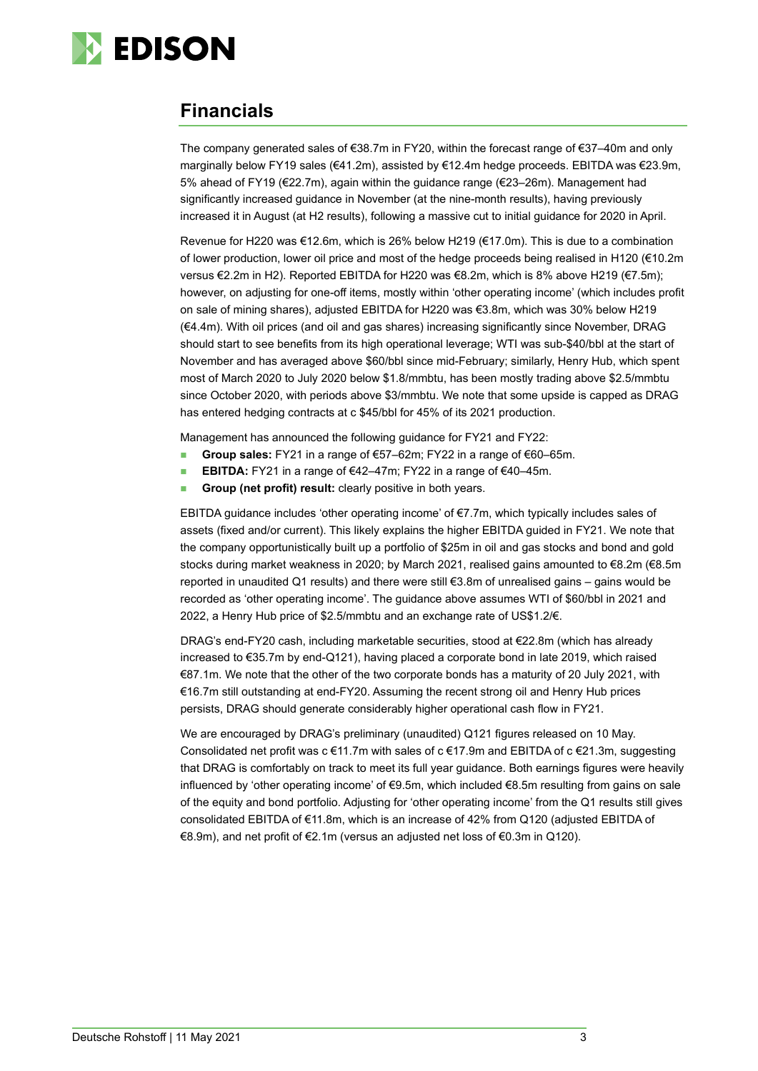

# **Financials**

The company generated sales of €38.7m in FY20, within the forecast range of €37–40m and only marginally below FY19 sales (€41.2m), assisted by €12.4m hedge proceeds. EBITDA was €23.9m, 5% ahead of FY19 (€22.7m), again within the guidance range (€23–26m). Management had significantly increased guidance in November (at the nine-month results), having previously increased it in August (at H2 results), following a massive cut to initial guidance for 2020 in April.

Revenue for H220 was €12.6m, which is 26% below H219 (€17.0m). This is due to a combination of lower production, lower oil price and most of the hedge proceeds being realised in H120 (€10.2m versus €2.2m in H2). Reported EBITDA for H220 was €8.2m, which is 8% above H219 (€7.5m); however, on adjusting for one-off items, mostly within 'other operating income' (which includes profit on sale of mining shares), adjusted EBITDA for H220 was €3.8m, which was 30% below H219 (€4.4m). With oil prices (and oil and gas shares) increasing significantly since November, DRAG should start to see benefits from its high operational leverage; WTI was sub-\$40/bbl at the start of November and has averaged above \$60/bbl since mid-February; similarly, Henry Hub, which spent most of March 2020 to July 2020 below \$1.8/mmbtu, has been mostly trading above \$2.5/mmbtu since October 2020, with periods above \$3/mmbtu. We note that some upside is capped as DRAG has entered hedging contracts at c \$45/bbl for 45% of its 2021 production.

Management has announced the following guidance for FY21 and FY22:

- **Group sales:** FY21 in a range of €57–62m; FY22 in a range of €60–65m.
- **EBITDA:** FY21 in a range of €42–47m; FY22 in a range of €40–45m.
- **Group (net profit) result:** clearly positive in both years.

EBITDA guidance includes 'other operating income' of €7.7m, which typically includes sales of assets (fixed and/or current). This likely explains the higher EBITDA guided in FY21. We note that the company opportunistically built up a portfolio of \$25m in oil and gas stocks and bond and gold stocks during market weakness in 2020; by March 2021, realised gains amounted to €8.2m (€8.5m reported in unaudited Q1 results) and there were still €3.8m of unrealised gains – gains would be recorded as 'other operating income'. The guidance above assumes WTI of \$60/bbl in 2021 and 2022, a Henry Hub price of \$2.5/mmbtu and an exchange rate of US\$1.2/€.

DRAG's end-FY20 cash, including marketable securities, stood at €22.8m (which has already increased to €35.7m by end-Q121), having placed a corporate bond in late 2019, which raised €87.1m. We note that the other of the two corporate bonds has a maturity of 20 July 2021, with €16.7m still outstanding at end-FY20. Assuming the recent strong oil and Henry Hub prices persists, DRAG should generate considerably higher operational cash flow in FY21.

We are encouraged by DRAG's preliminary (unaudited) Q121 figures released on 10 May. Consolidated net profit was c €11.7m with sales of c €17.9m and EBITDA of c €21.3m, suggesting that DRAG is comfortably on track to meet its full year guidance. Both earnings figures were heavily influenced by 'other operating income' of €9.5m, which included €8.5m resulting from gains on sale of the equity and bond portfolio. Adjusting for 'other operating income' from the Q1 results still gives consolidated EBITDA of €11.8m, which is an increase of 42% from Q120 (adjusted EBITDA of €8.9m), and net profit of €2.1m (versus an adjusted net loss of €0.3m in Q120).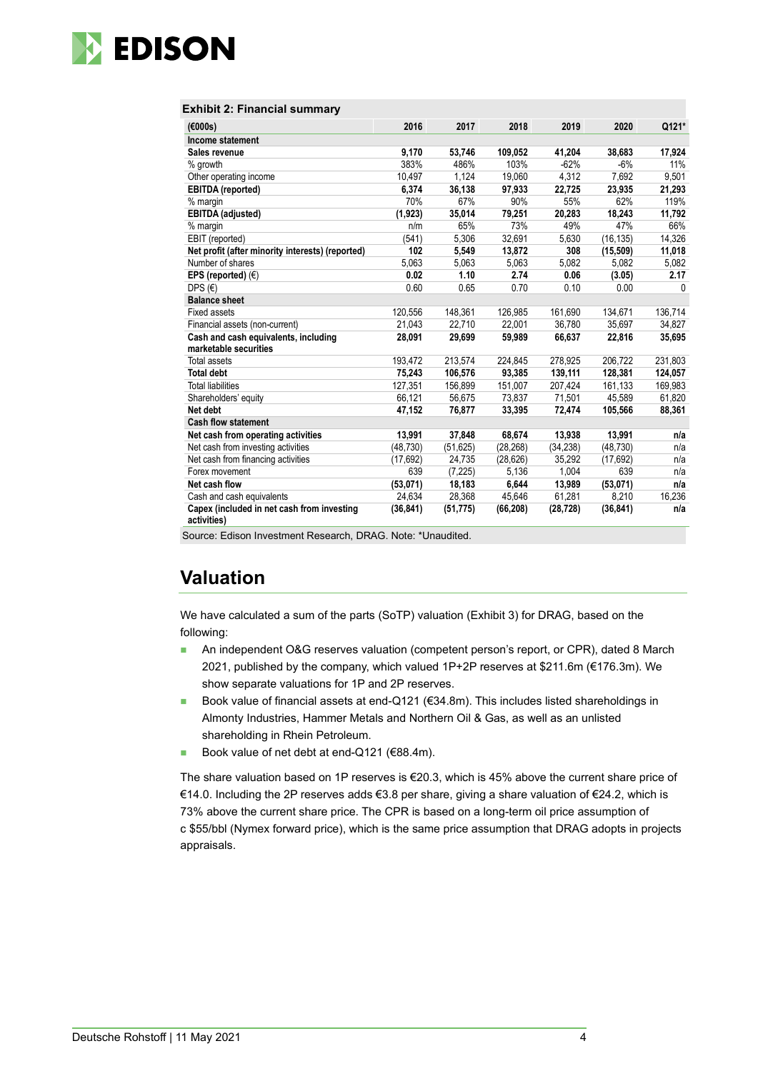

#### **Exhibit 2: Financial summary**

| (6000s)                                                       | 2016      | 2017      | 2018      | 2019      | 2020      | Q121*    |
|---------------------------------------------------------------|-----------|-----------|-----------|-----------|-----------|----------|
| Income statement                                              |           |           |           |           |           |          |
| Sales revenue                                                 | 9,170     | 53,746    | 109,052   | 41,204    | 38,683    | 17,924   |
| % growth                                                      | 383%      | 486%      | 103%      | $-62%$    | $-6%$     | 11%      |
| Other operating income                                        | 10,497    | 1,124     | 19,060    | 4,312     | 7,692     | 9,501    |
| <b>EBITDA</b> (reported)                                      | 6.374     | 36,138    | 97,933    | 22,725    | 23.935    | 21,293   |
| % margin                                                      | 70%       | 67%       | 90%       | 55%       | 62%       | 119%     |
| <b>EBITDA</b> (adjusted)                                      | (1,923)   | 35,014    | 79,251    | 20,283    | 18,243    | 11,792   |
| % margin                                                      | n/m       | 65%       | 73%       | 49%       | 47%       | 66%      |
| EBIT (reported)                                               | (541)     | 5,306     | 32,691    | 5,630     | (16, 135) | 14,326   |
| Net profit (after minority interests) (reported)              | 102       | 5,549     | 13,872    | 308       | (15, 509) | 11,018   |
| Number of shares                                              | 5,063     | 5,063     | 5,063     | 5,082     | 5,082     | 5,082    |
| EPS (reported) $(\epsilon)$                                   | 0.02      | 1.10      | 2.74      | 0.06      | (3.05)    | 2.17     |
| DPS $(E)$                                                     | 0.60      | 0.65      | 0.70      | 0.10      | 0.00      | $\Omega$ |
| <b>Balance sheet</b>                                          |           |           |           |           |           |          |
| <b>Fixed assets</b>                                           | 120,556   | 148,361   | 126,985   | 161,690   | 134,671   | 136,714  |
| Financial assets (non-current)                                | 21,043    | 22.710    | 22.001    | 36,780    | 35,697    | 34,827   |
| Cash and cash equivalents, including<br>marketable securities | 28,091    | 29,699    | 59,989    | 66,637    | 22,816    | 35,695   |
| <b>Total assets</b>                                           | 193,472   | 213,574   | 224,845   | 278,925   | 206,722   | 231,803  |
| <b>Total debt</b>                                             | 75,243    | 106,576   | 93,385    | 139,111   | 128,381   | 124,057  |
| <b>Total liabilities</b>                                      | 127,351   | 156,899   | 151,007   | 207,424   | 161,133   | 169,983  |
| Shareholders' equity                                          | 66,121    | 56,675    | 73,837    | 71,501    | 45,589    | 61,820   |
| Net debt                                                      | 47,152    | 76,877    | 33,395    | 72,474    | 105,566   | 88,361   |
| <b>Cash flow statement</b>                                    |           |           |           |           |           |          |
| Net cash from operating activities                            | 13,991    | 37,848    | 68,674    | 13,938    | 13,991    | n/a      |
| Net cash from investing activities                            | (48, 730) | (51, 625) | (28, 268) | (34, 238) | (48, 730) | n/a      |
| Net cash from financing activities                            | (17.692)  | 24,735    | (28, 626) | 35,292    | (17,692)  | n/a      |
| Forex movement                                                | 639       | (7, 225)  | 5,136     | 1,004     | 639       | n/a      |
| Net cash flow                                                 | (53,071)  | 18,183    | 6,644     | 13,989    | (53,071)  | n/a      |
| Cash and cash equivalents                                     | 24,634    | 28,368    | 45,646    | 61,281    | 8,210     | 16.236   |
| Capex (included in net cash from investing<br>activities)     | (36, 841) | (51, 775) | (66, 208) | (28, 728) | (36, 841) | n/a      |

Source: Edison Investment Research, DRAG. Note: \*Unaudited.

# **Valuation**

We have calculated a sum of the parts (SoTP) valuation (Exhibit 3) for DRAG, based on the following:

- **An independent O&G reserves valuation (competent person's report, or CPR), dated 8 March** 2021, published by the company, which valued 1P+2P reserves at \$211.6m (€176.3m). We show separate valuations for 1P and 2P reserves.
- Book value of financial assets at end-Q121 (€34.8m). This includes listed shareholdings in Almonty Industries, Hammer Metals and Northern Oil & Gas, as well as an unlisted shareholding in Rhein Petroleum.
- Book value of net debt at end-Q121 (€88.4m).

The share valuation based on 1P reserves is  $\epsilon$ 20.3, which is 45% above the current share price of €14.0. Including the 2P reserves adds €3.8 per share, giving a share valuation of €24.2, which is 73% above the current share price. The CPR is based on a long-term oil price assumption of c \$55/bbl (Nymex forward price), which is the same price assumption that DRAG adopts in projects appraisals.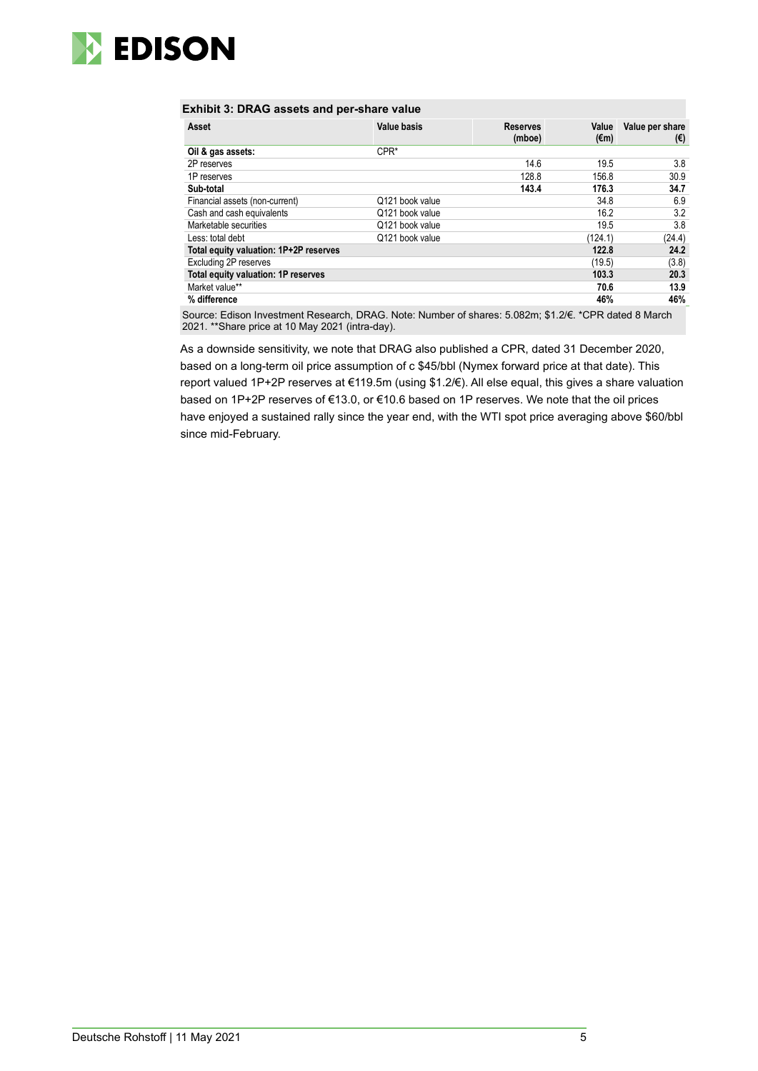

#### **Exhibit 3: DRAG assets and per-share value**

| Asset                                  | <b>Value basis</b> | <b>Reserves</b><br>(mboe) | Value<br>(€m) | Value per share<br>(€) |
|----------------------------------------|--------------------|---------------------------|---------------|------------------------|
| Oil & gas assets:                      | $CPR*$             |                           |               |                        |
| 2P reserves                            |                    | 14.6                      | 19.5          | 3.8                    |
| 1P reserves                            |                    | 128.8                     | 156.8         | 30.9                   |
| Sub-total                              |                    | 143.4                     | 176.3         | 34.7                   |
| Financial assets (non-current)         | Q121 book value    |                           | 34.8          | 6.9                    |
| Cash and cash equivalents              | Q121 book value    |                           | 16.2          | 3.2                    |
| Marketable securities                  | Q121 book value    |                           | 19.5          | 3.8                    |
| Less: total debt                       | Q121 book value    |                           | (124.1)       | (24.4)                 |
| Total equity valuation: 1P+2P reserves |                    |                           | 122.8         | 24.2                   |
| Excluding 2P reserves                  |                    |                           | (19.5)        | (3.8)                  |
| Total equity valuation: 1P reserves    |                    |                           | 103.3         | 20.3                   |
| Market value**                         |                    |                           | 70.6          | 13.9                   |
| % difference                           |                    |                           | 46%           | 46%                    |

Source: Edison Investment Research, DRAG. Note: Number of shares: 5.082m; \$1.2/€. \*CPR dated 8 March 2021. \*\*Share price at 10 May 2021 (intra-day).

As a downside sensitivity, we note that DRAG also published a CPR, dated 31 December 2020, based on a long-term oil price assumption of c \$45/bbl (Nymex forward price at that date). This report valued 1P+2P reserves at €119.5m (using \$1.2/€). All else equal, this gives a share valuation based on 1P+2P reserves of €13.0, or €10.6 based on 1P reserves. We note that the oil prices have enjoyed a sustained rally since the year end, with the WTI spot price averaging above \$60/bbl since mid-February.